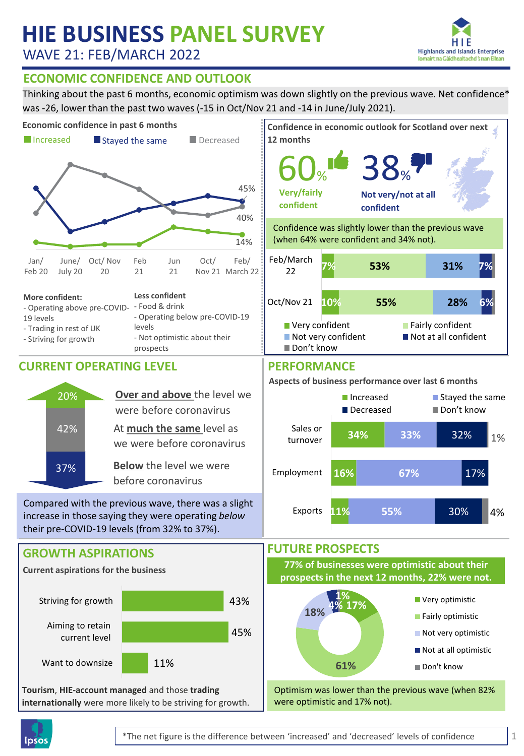# **HIE BUSINESS PANEL SURVEY**

WAVE 21: FEB/MARCH 2022



### **ECONOMIC CONFIDENCE AND OUTLOOK**

Thinking about the past 6 months, economic optimism was down slightly on the previous wave. Net confidence\* was -26, lower than the past two waves (-15 in Oct/Nov 21 and -14 in June/July 2021).





1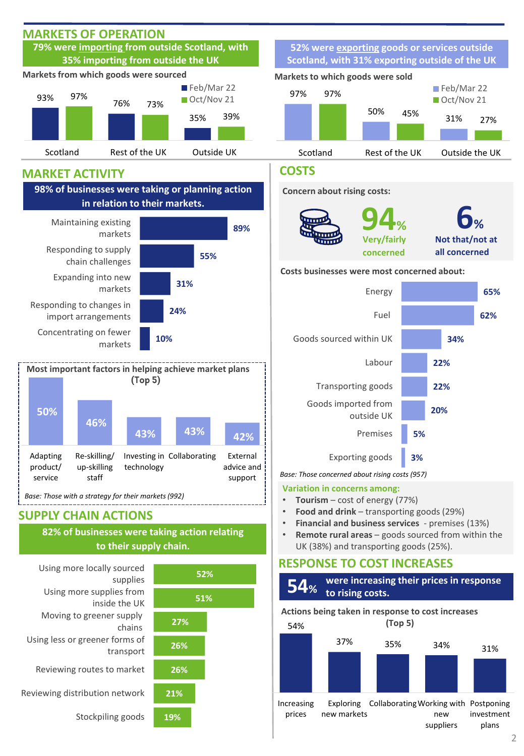

2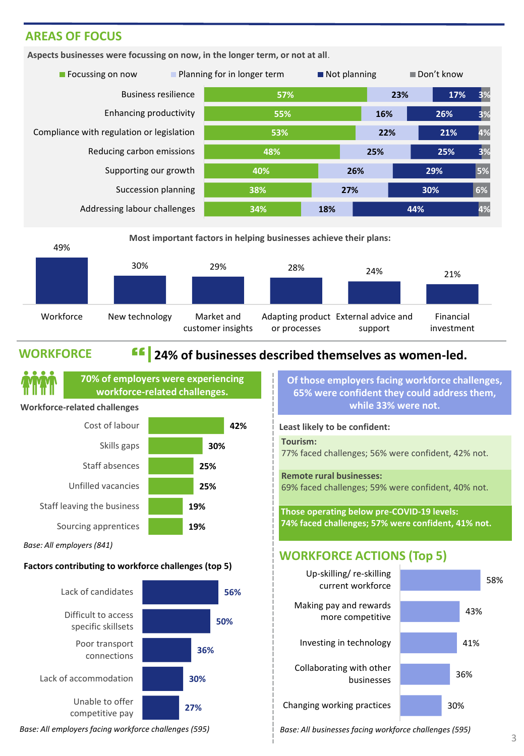### **AREAS OF FOCUS**

**Aspects businesses were focussing on now, in the longer term, or not at all**.





### **WORKFORCE**

## **24% 24% of businesses described themselves as women-led.**



*Base: All employers (841)*

#### **Factors contributing to workforce challenges (top 5)**



**Of those employers facing workforce challenges, 65% were confident they could address them, while 33% were not.**

### **Least likely to be confident: Tourism:**

77% faced challenges; 56% were confident, 42% not.

**Remote rural businesses:**

69% faced challenges; 59% were confident, 40% not.

**Those operating below pre-COVID-19 levels: 74% faced challenges; 57% were confident, 41% not.**

### **WORKFORCE ACTIONS (Top 5)**



*Base: All employers facing workforce challenges (595) Base: All businesses facing workforce challenges (595)*